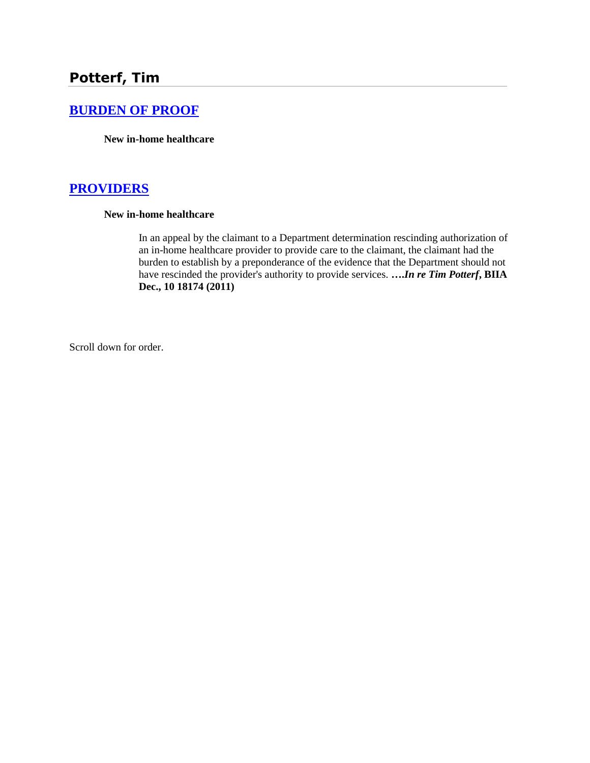# **[BURDEN OF PROOF](http://www.biia.wa.gov/SDSubjectIndex.html#BURDEN_OF_PROOF)**

**New in-home healthcare**

# **[PROVIDERS](http://www.biia.wa.gov/SDSubjectIndex.html#PROVIDERS)**

#### **New in-home healthcare**

In an appeal by the claimant to a Department determination rescinding authorization of an in-home healthcare provider to provide care to the claimant, the claimant had the burden to establish by a preponderance of the evidence that the Department should not have rescinded the provider's authority to provide services. **….***In re Tim Potterf***, BIIA Dec., 10 18174 (2011)** 

Scroll down for order.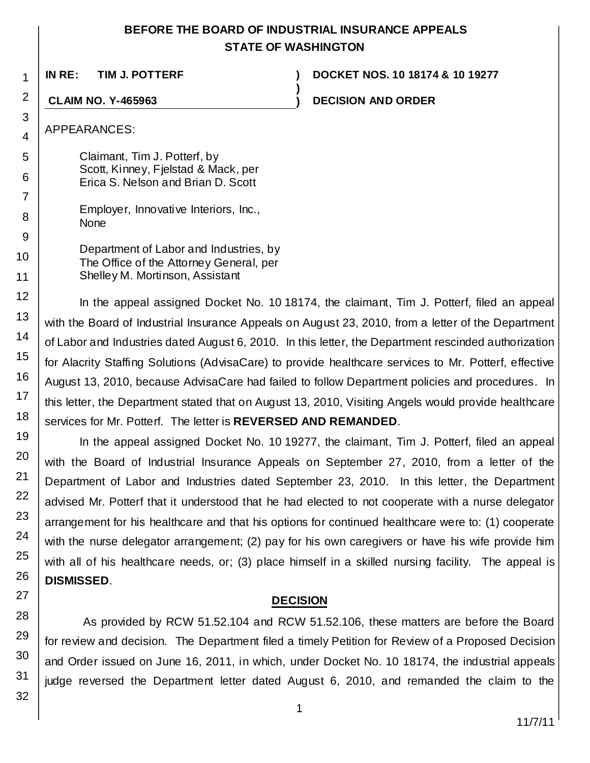# **BEFORE THE BOARD OF INDUSTRIAL INSURANCE APPEALS STATE OF WASHINGTON**

**)**

**IN RE: TIM J. POTTERF ) DOCKET NOS. 10 18174 & 10 19277**

**CLAIM NO. Y-465963 ) DECISION AND ORDER**

APPEARANCES:

1

2

3

4

5

6 7

8 9

10

11

12

13 14

15

16 17

18 19

20

21 22

23

24

25

Claimant, Tim J. Potterf, by Scott, Kinney, Fjelstad & Mack, per Erica S. Nelson and Brian D. Scott

|             | Employer, Innovative Interiors, Inc., |  |
|-------------|---------------------------------------|--|
| <b>None</b> |                                       |  |

Department of Labor and Industries, by The Office of the Attorney General, per Shelley M. Mortinson, Assistant

In the appeal assigned Docket No. 10 18174, the claimant, Tim J. Potterf, filed an appeal with the Board of Industrial Insurance Appeals on August 23, 2010, from a letter of the Department of Labor and Industries dated August 6, 2010. In this letter, the Department rescinded authorization for Alacrity Staffing Solutions (AdvisaCare) to provide healthcare services to Mr. Potterf, effective August 13, 2010, because AdvisaCare had failed to follow Department policies and procedures. In this letter, the Department stated that on August 13, 2010, Visiting Angels would provide healthcare services for Mr. Potterf. The letter is **REVERSED AND REMANDED**.

In the appeal assigned Docket No. 10 19277, the claimant, Tim J. Potterf, filed an appeal with the Board of Industrial Insurance Appeals on September 27, 2010, from a letter of the Department of Labor and Industries dated September 23, 2010. In this letter, the Department advised Mr. Potterf that it understood that he had elected to not cooperate with a nurse delegator arrangement for his healthcare and that his options for continued healthcare were to: (1) cooperate with the nurse delegator arrangement; (2) pay for his own caregivers or have his wife provide him with all of his healthcare needs, or; (3) place himself in a skilled nursing facility. The appeal is **DISMISSED**.

# **DECISION**

As provided by RCW 51.52.104 and RCW 51.52.106, these matters are before the Board for review and decision. The Department filed a timely Petition for Review of a Proposed Decision and Order issued on June 16, 2011, in which, under Docket No. 10 18174, the industrial appeals judge reversed the Department letter dated August 6, 2010, and remanded the claim to the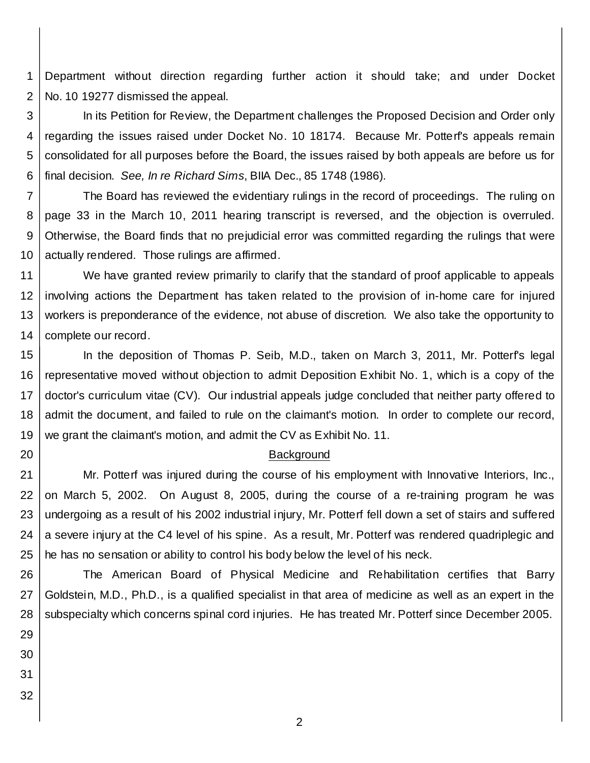1 2 Department without direction regarding further action it should take; and under Docket No. 10 19277 dismissed the appeal.

3 4 5 6 In its Petition for Review, the Department challenges the Proposed Decision and Order only regarding the issues raised under Docket No. 10 18174. Because Mr. Potterf's appeals remain consolidated for all purposes before the Board, the issues raised by both appeals are before us for final decision. *See, In re Richard Sims*, BIIA Dec., 85 1748 (1986).

7 8 9 10 The Board has reviewed the evidentiary rulings in the record of proceedings. The ruling on page 33 in the March 10, 2011 hearing transcript is reversed, and the objection is overruled. Otherwise, the Board finds that no prejudicial error was committed regarding the rulings that were actually rendered. Those rulings are affirmed.

11 12 13 14 We have granted review primarily to clarify that the standard of proof applicable to appeals involving actions the Department has taken related to the provision of in-home care for injured workers is preponderance of the evidence, not abuse of discretion. We also take the opportunity to complete our record.

15 16 17 18 19 In the deposition of Thomas P. Seib, M.D., taken on March 3, 2011, Mr. Potterf's legal representative moved without objection to admit Deposition Exhibit No. 1, which is a copy of the doctor's curriculum vitae (CV). Our industrial appeals judge concluded that neither party offered to admit the document, and failed to rule on the claimant's motion. In order to complete our record, we grant the claimant's motion, and admit the CV as Exhibit No. 11.

### Background

21 22 23 24 25 Mr. Potterf was injured during the course of his employment with Innovative Interiors, Inc., on March 5, 2002. On August 8, 2005, during the course of a re-training program he was undergoing as a result of his 2002 industrial injury, Mr. Potterf fell down a set of stairs and suffered a severe injury at the C4 level of his spine. As a result, Mr. Potterf was rendered quadriplegic and he has no sensation or ability to control his body below the level of his neck.

26 27 28 The American Board of Physical Medicine and Rehabilitation certifies that Barry Goldstein, M.D., Ph.D., is a qualified specialist in that area of medicine as well as an expert in the subspecialty which concerns spinal cord injuries. He has treated Mr. Potterf since December 2005.

2

29

- 30 31
- 32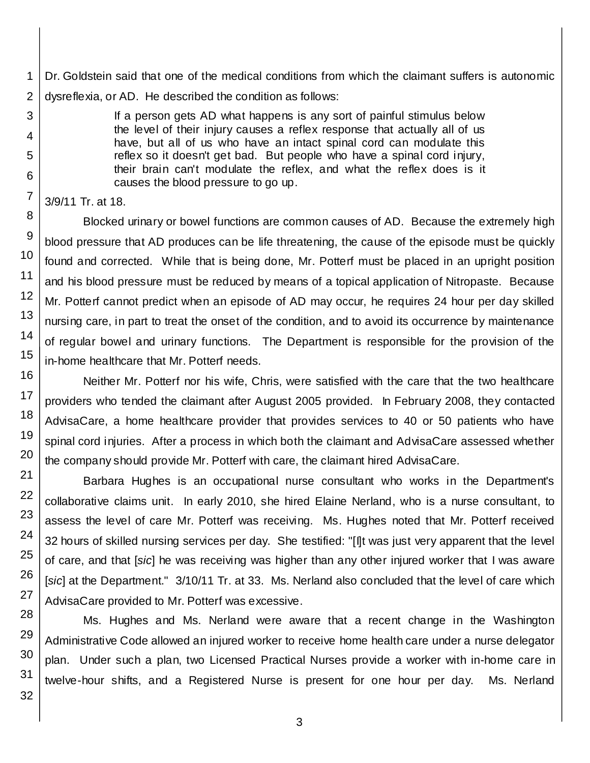1 2 Dr. Goldstein said that one of the medical conditions from which the claimant suffers is autonomic dysreflexia, or AD. He described the condition as follows:

> If a person gets AD what happens is any sort of painful stimulus below the level of their injury causes a reflex response that actually all of us have, but all of us who have an intact spinal cord can modulate this reflex so it doesn't get bad. But people who have a spinal cord injury, their brain can't modulate the reflex, and what the reflex does is it causes the blood pressure to go up.

```
3/9/11 Tr. at 18.
```
Blocked urinary or bowel functions are common causes of AD. Because the extremely high blood pressure that AD produces can be life threatening, the cause of the episode must be quickly found and corrected. While that is being done, Mr. Potterf must be placed in an upright position and his blood pressure must be reduced by means of a topical application of Nitropaste. Because Mr. Potterf cannot predict when an episode of AD may occur, he requires 24 hour per day skilled nursing care, in part to treat the onset of the condition, and to avoid its occurrence by maintenance of regular bowel and urinary functions. The Department is responsible for the provision of the in-home healthcare that Mr. Potterf needs.

Neither Mr. Potterf nor his wife, Chris, were satisfied with the care that the two healthcare providers who tended the claimant after August 2005 provided. In February 2008, they contacted AdvisaCare, a home healthcare provider that provides services to 40 or 50 patients who have spinal cord injuries. After a process in which both the claimant and AdvisaCare assessed whether the company should provide Mr. Potterf with care, the claimant hired AdvisaCare.

Barbara Hughes is an occupational nurse consultant who works in the Department's collaborative claims unit. In early 2010, she hired Elaine Nerland, who is a nurse consultant, to assess the level of care Mr. Potterf was receiving. Ms. Hughes noted that Mr. Potterf received 32 hours of skilled nursing services per day. She testified: "[I]t was just very apparent that the level of care, and that [*sic*] he was receiving was higher than any other injured worker that I was aware [*sic*] at the Department." 3/10/11 Tr. at 33. Ms. Nerland also concluded that the level of care which AdvisaCare provided to Mr. Potterf was excessive.

Ms. Hughes and Ms. Nerland were aware that a recent change in the Washington Administrative Code allowed an injured worker to receive home health care under a nurse delegator plan. Under such a plan, two Licensed Practical Nurses provide a worker with in-home care in twelve-hour shifts, and a Registered Nurse is present for one hour per day. Ms. Nerland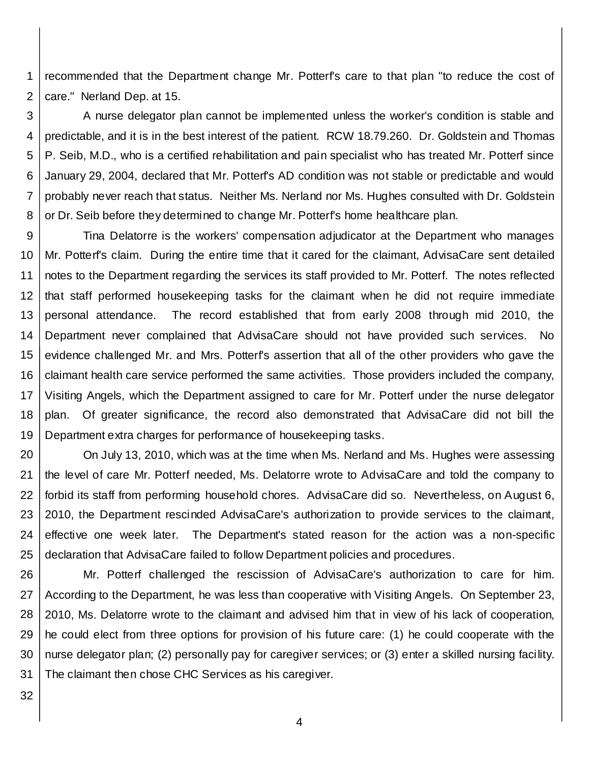1 2 recommended that the Department change Mr. Potterf's care to that plan "to reduce the cost of care." Nerland Dep. at 15.

3 4 5 6 7 8 A nurse delegator plan cannot be implemented unless the worker's condition is stable and predictable, and it is in the best interest of the patient. RCW 18.79.260. Dr. Goldstein and Thomas P. Seib, M.D., who is a certified rehabilitation and pain specialist who has treated Mr. Potterf since January 29, 2004, declared that Mr. Potterf's AD condition was not stable or predictable and would probably never reach that status. Neither Ms. Nerland nor Ms. Hughes consulted with Dr. Goldstein or Dr. Seib before they determined to change Mr. Potterf's home healthcare plan.

9 10 11 12 13 14 15 16 17 18 19 Tina Delatorre is the workers' compensation adjudicator at the Department who manages Mr. Potterf's claim. During the entire time that it cared for the claimant, AdvisaCare sent detailed notes to the Department regarding the services its staff provided to Mr. Potterf. The notes reflected that staff performed housekeeping tasks for the claimant when he did not require immediate personal attendance. The record established that from early 2008 through mid 2010, the Department never complained that AdvisaCare should not have provided such services. No evidence challenged Mr. and Mrs. Potterf's assertion that all of the other providers who gave the claimant health care service performed the same activities. Those providers included the company, Visiting Angels, which the Department assigned to care for Mr. Potterf under the nurse delegator plan. Of greater significance, the record also demonstrated that AdvisaCare did not bill the Department extra charges for performance of housekeeping tasks.

20 21 22 23 24 25 On July 13, 2010, which was at the time when Ms. Nerland and Ms. Hughes were assessing the level of care Mr. Potterf needed, Ms. Delatorre wrote to AdvisaCare and told the company to forbid its staff from performing household chores. AdvisaCare did so. Nevertheless, on August 6, 2010, the Department rescinded AdvisaCare's authorization to provide services to the claimant, effective one week later. The Department's stated reason for the action was a non-specific declaration that AdvisaCare failed to follow Department policies and procedures.

26 27 28 29 30 31 Mr. Potterf challenged the rescission of AdvisaCare's authorization to care for him. According to the Department, he was less than cooperative with Visiting Angels. On September 23, 2010, Ms. Delatorre wrote to the claimant and advised him that in view of his lack of cooperation, he could elect from three options for provision of his future care: (1) he could cooperate with the nurse delegator plan; (2) personally pay for caregiver services; or (3) enter a skilled nursing facility. The claimant then chose CHC Services as his caregiver.

32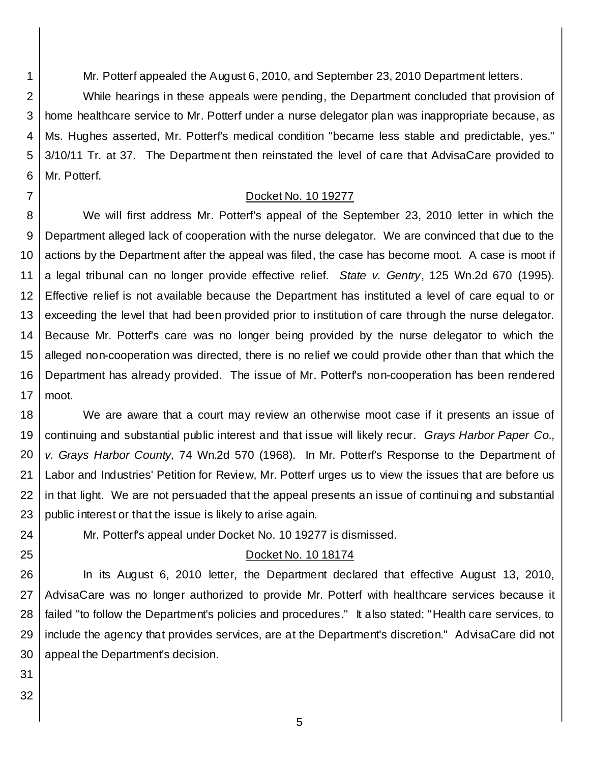Mr. Potterf appealed the August 6, 2010, and September 23, 2010 Department letters.

2 3 4 5 6 While hearings in these appeals were pending, the Department concluded that provision of home healthcare service to Mr. Potterf under a nurse delegator plan was inappropriate because, as Ms. Hughes asserted, Mr. Potterf's medical condition "became less stable and predictable, yes." 3/10/11 Tr. at 37. The Department then reinstated the level of care that AdvisaCare provided to Mr. Potterf.

## Docket No. 10 19277

8 9 10 11 12 13 14 15 16 17 We will first address Mr. Potterf's appeal of the September 23, 2010 letter in which the Department alleged lack of cooperation with the nurse delegator. We are convinced that due to the actions by the Department after the appeal was filed, the case has become moot. A case is moot if a legal tribunal can no longer provide effective relief. *State v. Gentry*, 125 Wn.2d 670 (1995). Effective relief is not available because the Department has instituted a level of care equal to or exceeding the level that had been provided prior to institution of care through the nurse delegator. Because Mr. Potterf's care was no longer being provided by the nurse delegator to which the alleged non-cooperation was directed, there is no relief we could provide other than that which the Department has already provided. The issue of Mr. Potterf's non-cooperation has been rendered moot.

18 19 20 21 22 23 We are aware that a court may review an otherwise moot case if it presents an issue of continuing and substantial public interest and that issue will likely recur. *Grays Harbor Paper Co., v. Grays Harbor County,* 74 Wn.2d 570 (1968). In Mr. Potterf's Response to the Department of Labor and Industries' Petition for Review, Mr. Potterf urges us to view the issues that are before us in that light. We are not persuaded that the appeal presents an issue of continuing and substantial public interest or that the issue is likely to arise again.

Mr. Potterf's appeal under Docket No. 10 19277 is dismissed.

## Docket No. 10 18174

26 27 28 29 30 In its August 6, 2010 letter, the Department declared that effective August 13, 2010, AdvisaCare was no longer authorized to provide Mr. Potterf with healthcare services because it failed "to follow the Department's policies and procedures." It also stated: "Health care services, to include the agency that provides services, are at the Department's discretion." AdvisaCare did not appeal the Department's decision.

31

24

25

1

7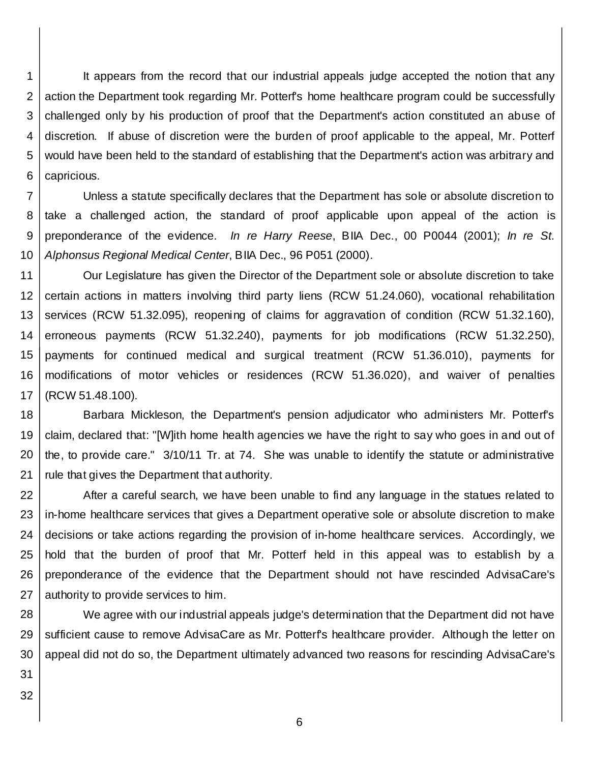1 2 3 4 5 6 It appears from the record that our industrial appeals judge accepted the notion that any action the Department took regarding Mr. Potterf's home healthcare program could be successfully challenged only by his production of proof that the Department's action constituted an abuse of discretion. If abuse of discretion were the burden of proof applicable to the appeal, Mr. Potterf would have been held to the standard of establishing that the Department's action was arbitrary and capricious.

7 8 9 10 Unless a statute specifically declares that the Department has sole or absolute discretion to take a challenged action, the standard of proof applicable upon appeal of the action is preponderance of the evidence. *In re Harry Reese*, BIIA Dec., 00 P0044 (2001); *In re St*. *Alphonsus Regional Medical Center*, BIIA Dec., 96 P051 (2000).

11 12 13 14 15 16 17 Our Legislature has given the Director of the Department sole or absolute discretion to take certain actions in matters involving third party liens (RCW 51.24.060), vocational rehabilitation services (RCW 51.32.095), reopening of claims for aggravation of condition (RCW 51.32.160), erroneous payments (RCW 51.32.240), payments for job modifications (RCW 51.32.250), payments for continued medical and surgical treatment (RCW 51.36.010), payments for modifications of motor vehicles or residences (RCW 51.36.020), and waiver of penalties (RCW 51.48.100).

18 19 20 21 Barbara Mickleson, the Department's pension adjudicator who administers Mr. Potterf's claim, declared that: "[W]ith home health agencies we have the right to say who goes in and out of the, to provide care." 3/10/11 Tr. at 74. She was unable to identify the statute or administrative rule that gives the Department that authority.

22 23 24 25 26 27 After a careful search, we have been unable to find any language in the statues related to in-home healthcare services that gives a Department operative sole or absolute discretion to make decisions or take actions regarding the provision of in-home healthcare services. Accordingly, we hold that the burden of proof that Mr. Potterf held in this appeal was to establish by a preponderance of the evidence that the Department should not have rescinded AdvisaCare's authority to provide services to him.

28 29 30 We agree with our industrial appeals judge's determination that the Department did not have sufficient cause to remove AdvisaCare as Mr. Potterf's healthcare provider. Although the letter on appeal did not do so, the Department ultimately advanced two reasons for rescinding AdvisaCare's

31 32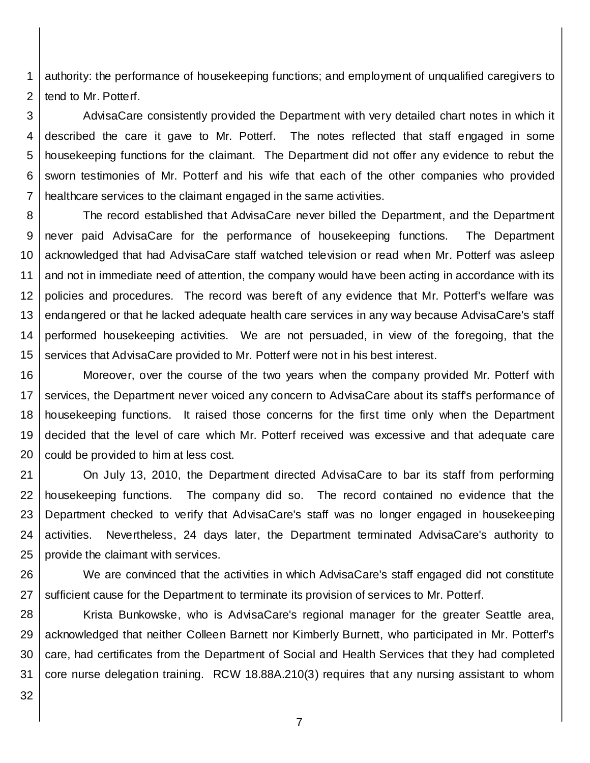1 2 authority: the performance of housekeeping functions; and employment of unqualified caregivers to tend to Mr. Potterf.

3 4 5 6 7 AdvisaCare consistently provided the Department with very detailed chart notes in which it described the care it gave to Mr. Potterf. The notes reflected that staff engaged in some housekeeping functions for the claimant. The Department did not offer any evidence to rebut the sworn testimonies of Mr. Potterf and his wife that each of the other companies who provided healthcare services to the claimant engaged in the same activities.

8 9 10 11 12 13 14 15 The record established that AdvisaCare never billed the Department, and the Department never paid AdvisaCare for the performance of housekeeping functions. The Department acknowledged that had AdvisaCare staff watched television or read when Mr. Potterf was asleep and not in immediate need of attention, the company would have been acting in accordance with its policies and procedures. The record was bereft of any evidence that Mr. Potterf's welfare was endangered or that he lacked adequate health care services in any way because AdvisaCare's staff performed housekeeping activities. We are not persuaded, in view of the foregoing, that the services that AdvisaCare provided to Mr. Potterf were not in his best interest.

16 17 18 19 20 Moreover, over the course of the two years when the company provided Mr. Potterf with services, the Department never voiced any concern to AdvisaCare about its staff's performance of housekeeping functions. It raised those concerns for the first time only when the Department decided that the level of care which Mr. Potterf received was excessive and that adequate care could be provided to him at less cost.

21 22 23 24 25 On July 13, 2010, the Department directed AdvisaCare to bar its staff from performing housekeeping functions. The company did so. The record contained no evidence that the Department checked to verify that AdvisaCare's staff was no longer engaged in housekeeping activities. Nevertheless, 24 days later, the Department terminated AdvisaCare's authority to provide the claimant with services.

26 27 We are convinced that the activities in which AdvisaCare's staff engaged did not constitute sufficient cause for the Department to terminate its provision of services to Mr. Potterf.

28 29 30 31 Krista Bunkowske, who is AdvisaCare's regional manager for the greater Seattle area, acknowledged that neither Colleen Barnett nor Kimberly Burnett, who participated in Mr. Potterf's care, had certificates from the Department of Social and Health Services that they had completed core nurse delegation training. RCW 18.88A.210(3) requires that any nursing assistant to whom

32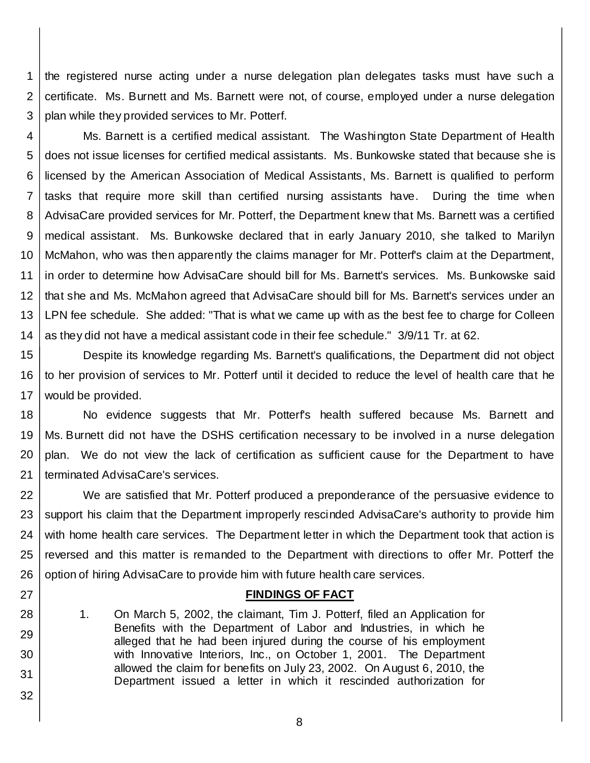1 2 3 the registered nurse acting under a nurse delegation plan delegates tasks must have such a certificate. Ms. Burnett and Ms. Barnett were not, of course, employed under a nurse delegation plan while they provided services to Mr. Potterf.

4 5 6 7 8 9 10 11 12 13 14 Ms. Barnett is a certified medical assistant. The Washington State Department of Health does not issue licenses for certified medical assistants. Ms. Bunkowske stated that because she is licensed by the American Association of Medical Assistants, Ms. Barnett is qualified to perform tasks that require more skill than certified nursing assistants have. During the time when AdvisaCare provided services for Mr. Potterf, the Department knew that Ms. Barnett was a certified medical assistant. Ms. Bunkowske declared that in early January 2010, she talked to Marilyn McMahon, who was then apparently the claims manager for Mr. Potterf's claim at the Department, in order to determine how AdvisaCare should bill for Ms. Barnett's services. Ms. Bunkowske said that she and Ms. McMahon agreed that AdvisaCare should bill for Ms. Barnett's services under an LPN fee schedule. She added: "That is what we came up with as the best fee to charge for Colleen as they did not have a medical assistant code in their fee schedule." 3/9/11 Tr. at 62.

15 16 17 Despite its knowledge regarding Ms. Barnett's qualifications, the Department did not object to her provision of services to Mr. Potterf until it decided to reduce the level of health care that he would be provided.

18 19 20 21 No evidence suggests that Mr. Potterf's health suffered because Ms. Barnett and Ms. Burnett did not have the DSHS certification necessary to be involved in a nurse delegation plan. We do not view the lack of certification as sufficient cause for the Department to have terminated AdvisaCare's services.

22 23 24 25 26 We are satisfied that Mr. Potterf produced a preponderance of the persuasive evidence to support his claim that the Department improperly rescinded AdvisaCare's authority to provide him with home health care services. The Department letter in which the Department took that action is reversed and this matter is remanded to the Department with directions to offer Mr. Potterf the option of hiring AdvisaCare to provide him with future health care services.

## **FINDINGS OF FACT**

1. On March 5, 2002, the claimant, Tim J. Potterf, filed an Application for Benefits with the Department of Labor and Industries, in which he alleged that he had been injured during the course of his employment with Innovative Interiors, Inc., on October 1, 2001. The Department allowed the claim for benefits on July 23, 2002. On August 6, 2010, the Department issued a letter in which it rescinded authorization for

27

28

29 30

31

32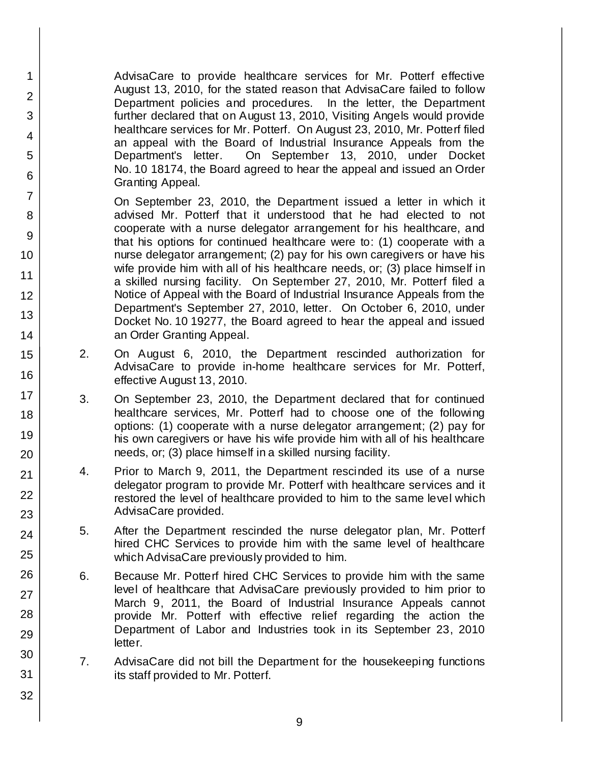AdvisaCare to provide healthcare services for Mr. Potterf effective August 13, 2010, for the stated reason that AdvisaCare failed to follow Department policies and procedures. In the letter, the Department further declared that on August 13, 2010, Visiting Angels would provide healthcare services for Mr. Potterf. On August 23, 2010, Mr. Potterf filed an appeal with the Board of Industrial Insurance Appeals from the Department's letter. On September 13, 2010, under Docket No. 10 18174, the Board agreed to hear the appeal and issued an Order Granting Appeal.

On September 23, 2010, the Department issued a letter in which it advised Mr. Potterf that it understood that he had elected to not cooperate with a nurse delegator arrangement for his healthcare, and that his options for continued healthcare were to: (1) cooperate with a nurse delegator arrangement; (2) pay for his own caregivers or have his wife provide him with all of his healthcare needs, or; (3) place himself in a skilled nursing facility. On September 27, 2010, Mr. Potterf filed a Notice of Appeal with the Board of Industrial Insurance Appeals from the Department's September 27, 2010, letter. On October 6, 2010, under Docket No. 10 19277, the Board agreed to hear the appeal and issued an Order Granting Appeal.

- 2. On August 6, 2010, the Department rescinded authorization for AdvisaCare to provide in-home healthcare services for Mr. Potterf, effective August 13, 2010.
- 3. On September 23, 2010, the Department declared that for continued healthcare services, Mr. Potterf had to choose one of the following options: (1) cooperate with a nurse delegator arrangement; (2) pay for his own caregivers or have his wife provide him with all of his healthcare needs, or; (3) place himself in a skilled nursing facility.
- 4. Prior to March 9, 2011, the Department rescinded its use of a nurse delegator program to provide Mr. Potterf with healthcare services and it restored the level of healthcare provided to him to the same level which AdvisaCare provided.
- 5. After the Department rescinded the nurse delegator plan, Mr. Potterf hired CHC Services to provide him with the same level of healthcare which AdvisaCare previously provided to him.
- 6. Because Mr. Potterf hired CHC Services to provide him with the same level of healthcare that AdvisaCare previously provided to him prior to March 9, 2011, the Board of Industrial Insurance Appeals cannot provide Mr. Potterf with effective relief regarding the action the Department of Labor and Industries took in its September 23, 2010 letter.
- 7. AdvisaCare did not bill the Department for the housekeeping functions its staff provided to Mr. Potterf.
- 7 8 9 10 11 12 13 14 15 16 17 18 19 20 21 22 23 24 25 26 27 28 29 30 31 32

1

2

3

4

5